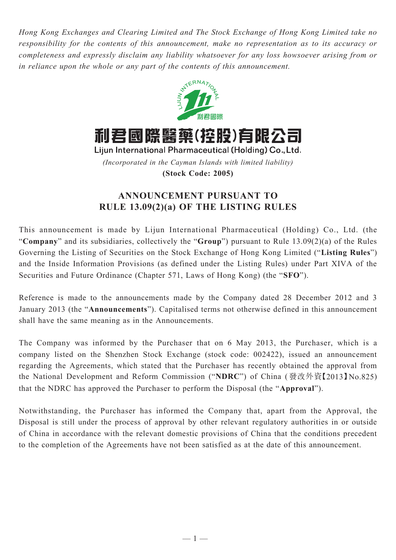*Hong Kong Exchanges and Clearing Limited and The Stock Exchange of Hong Kong Limited take no responsibility for the contents of this announcement, make no representation as to its accuracy or completeness and expressly disclaim any liability whatsoever for any loss howsoever arising from or in reliance upon the whole or any part of the contents of this announcement.*



利君國際醫藥(控股)有限公司

Lijun International Pharmaceutical (Holding) Co., Ltd. *(Incorporated in the Cayman Islands with limited liability)* **(Stock Code: 2005)**

## **ANNOUNCEMENT PURSUANT TO RULE 13.09(2)(a) OF THE LISTING RULES**

This announcement is made by Lijun International Pharmaceutical (Holding) Co., Ltd. (the "**Company**" and its subsidiaries, collectively the "**Group**") pursuant to Rule 13.09(2)(a) of the Rules Governing the Listing of Securities on the Stock Exchange of Hong Kong Limited ("**Listing Rules**") and the Inside Information Provisions (as defined under the Listing Rules) under Part XIVA of the Securities and Future Ordinance (Chapter 571, Laws of Hong Kong) (the "**SFO**").

Reference is made to the announcements made by the Company dated 28 December 2012 and 3 January 2013 (the "**Announcements**"). Capitalised terms not otherwise defined in this announcement shall have the same meaning as in the Announcements.

The Company was informed by the Purchaser that on 6 May 2013, the Purchaser, which is a company listed on the Shenzhen Stock Exchange (stock code: 002422), issued an announcement regarding the Agreements, which stated that the Purchaser has recently obtained the approval from the National Development and Reform Commission ("**NDRC**") of China (發改外資【2013】No.825) that the NDRC has approved the Purchaser to perform the Disposal (the "**Approval**").

Notwithstanding, the Purchaser has informed the Company that, apart from the Approval, the Disposal is still under the process of approval by other relevant regulatory authorities in or outside of China in accordance with the relevant domestic provisions of China that the conditions precedent to the completion of the Agreements have not been satisfied as at the date of this announcement.